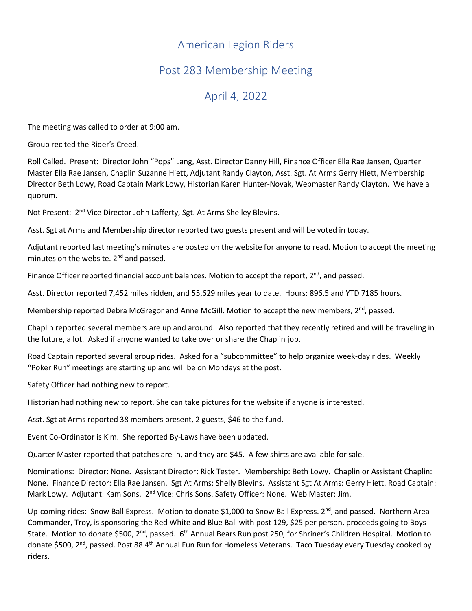## American Legion Riders

## Post 283 Membership Meeting

## April 4, 2022

The meeting was called to order at 9:00 am.

Group recited the Rider's Creed.

Roll Called. Present: Director John "Pops" Lang, Asst. Director Danny Hill, Finance Officer Ella Rae Jansen, Quarter Master Ella Rae Jansen, Chaplin Suzanne Hiett, Adjutant Randy Clayton, Asst. Sgt. At Arms Gerry Hiett, Membership Director Beth Lowy, Road Captain Mark Lowy, Historian Karen Hunter-Novak, Webmaster Randy Clayton. We have a quorum.

Not Present: 2<sup>nd</sup> Vice Director John Lafferty, Sgt. At Arms Shelley Blevins.

Asst. Sgt at Arms and Membership director reported two guests present and will be voted in today.

Adjutant reported last meeting's minutes are posted on the website for anyone to read. Motion to accept the meeting minutes on the website.  $2<sup>nd</sup>$  and passed.

Finance Officer reported financial account balances. Motion to accept the report,  $2^{nd}$ , and passed.

Asst. Director reported 7,452 miles ridden, and 55,629 miles year to date. Hours: 896.5 and YTD 7185 hours.

Membership reported Debra McGregor and Anne McGill. Motion to accept the new members,  $2<sup>nd</sup>$ , passed.

Chaplin reported several members are up and around. Also reported that they recently retired and will be traveling in the future, a lot. Asked if anyone wanted to take over or share the Chaplin job.

Road Captain reported several group rides. Asked for a "subcommittee" to help organize week-day rides. Weekly "Poker Run" meetings are starting up and will be on Mondays at the post.

Safety Officer had nothing new to report.

Historian had nothing new to report. She can take pictures for the website if anyone is interested.

Asst. Sgt at Arms reported 38 members present, 2 guests, \$46 to the fund.

Event Co-Ordinator is Kim. She reported By-Laws have been updated.

Quarter Master reported that patches are in, and they are \$45. A few shirts are available for sale.

Nominations: Director: None. Assistant Director: Rick Tester. Membership: Beth Lowy. Chaplin or Assistant Chaplin: None. Finance Director: Ella Rae Jansen. Sgt At Arms: Shelly Blevins. Assistant Sgt At Arms: Gerry Hiett. Road Captain: Mark Lowy. Adjutant: Kam Sons. 2<sup>nd</sup> Vice: Chris Sons. Safety Officer: None. Web Master: Jim.

Up-coming rides: Snow Ball Express. Motion to donate \$1,000 to Snow Ball Express. 2<sup>nd</sup>, and passed. Northern Area Commander, Troy, is sponsoring the Red White and Blue Ball with post 129, \$25 per person, proceeds going to Boys State. Motion to donate \$500, 2<sup>nd</sup>, passed. 6<sup>th</sup> Annual Bears Run post 250, for Shriner's Children Hospital. Motion to donate \$500, 2<sup>nd</sup>, passed. Post 88 4<sup>th</sup> Annual Fun Run for Homeless Veterans. Taco Tuesday every Tuesday cooked by riders.